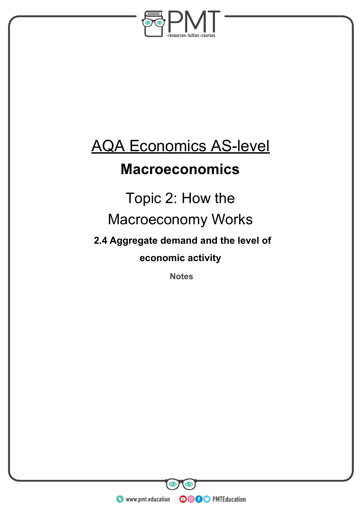

# AQA Economics AS-level

## **Macroeconomics**

# Topic 2: How the Macroeconomy Works

**2.4 Aggregate demand and the level of** 

**economic activity**

**Notes** 

**WWW.pmt.education** 

**OOOO** PMTEducation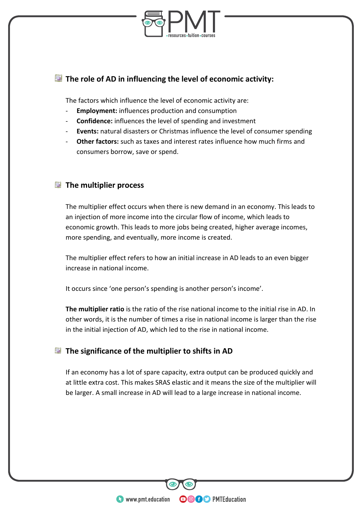

### **The role of AD in influencing the level of economic activity:**

The factors which influence the level of economic activity are:

- **Employment:** influences production and consumption
- **Confidence:** influences the level of spending and investment
- **Events:** natural disasters or Christmas influence the level of consumer spending
- **Other factors:** such as taxes and interest rates influence how much firms and consumers borrow, save or spend.

### **E** The multiplier process

The multiplier effect occurs when there is new demand in an economy. This leads to an injection of more income into the circular flow of income, which leads to economic growth. This leads to more jobs being created, higher average incomes, more spending, and eventually, more income is created.

The multiplier effect refers to how an initial increase in AD leads to an even bigger increase in national income.

It occurs since 'one person's spending is another person's income'.

**The multiplier ratio** is the ratio of the rise national income to the initial rise in AD. In other words, it is the number of times a rise in national income is larger than the rise in the initial injection of AD, which led to the rise in national income.

### **The significance of the multiplier to shifts in AD**

If an economy has a lot of spare capacity, extra output can be produced quickly and at little extra cost. This makes SRAS elastic and it means the size of the multiplier will be larger. A small increase in AD will lead to a large increase in national income.

**OOOO** PMTEducation

**WWW.pmt.education**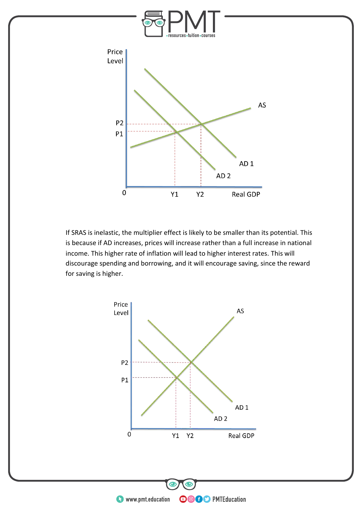

If SRAS is inelastic, the multiplier effect is likely to be smaller than its potential. This is because if AD increases, prices will increase rather than a full increase in national income. This higher rate of inflation will lead to higher interest rates. This will discourage spending and borrowing, and it will encourage saving, since the reward for saving is higher.